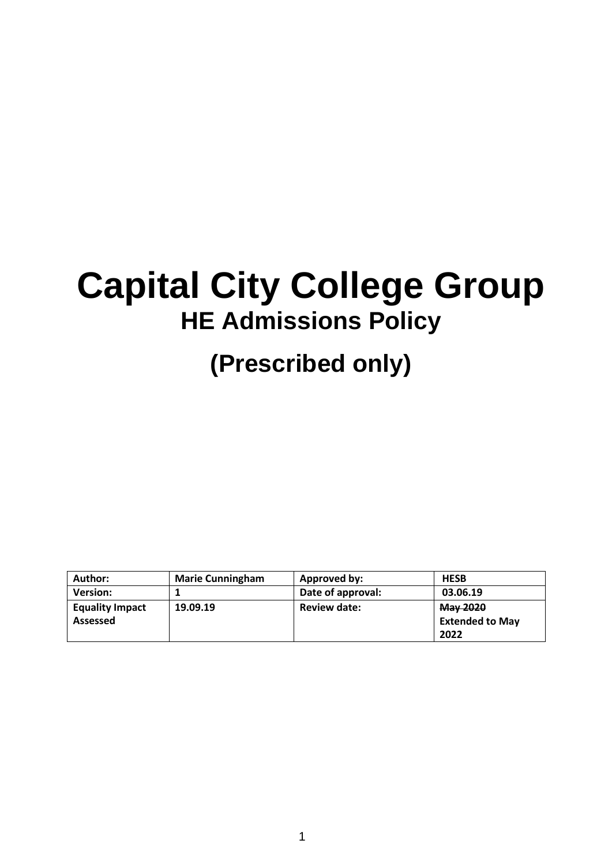# **Capital City College Group HE Admissions Policy**

## **(Prescribed only)**

| Author:                            | <b>Marie Cunningham</b> | Approved by:        | <b>HESB</b>                                |
|------------------------------------|-------------------------|---------------------|--------------------------------------------|
| <b>Version:</b>                    |                         | Date of approval:   | 03.06.19                                   |
| <b>Equality Impact</b><br>Assessed | 19.09.19                | <b>Review date:</b> | May 2020<br><b>Extended to May</b><br>2022 |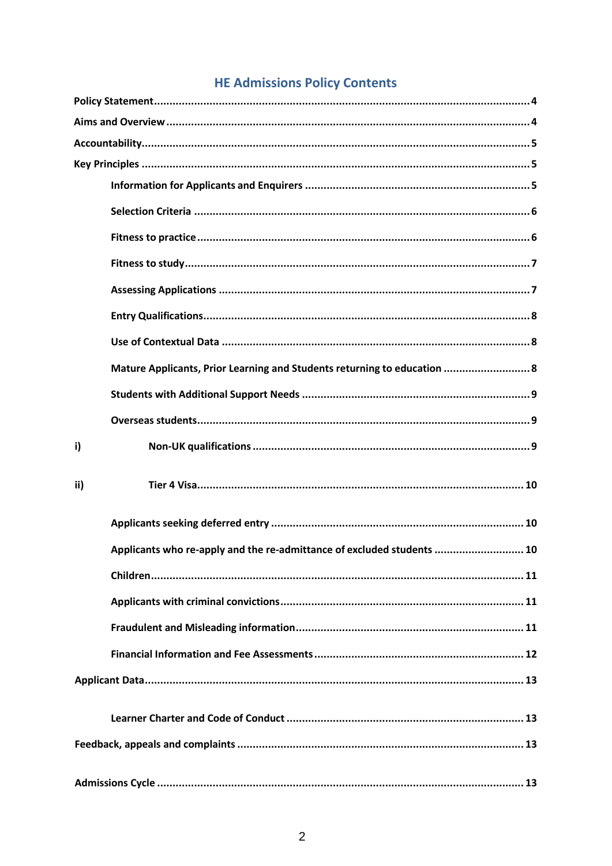## **HE Admissions Policy Contents**

|     | Mature Applicants, Prior Learning and Students returning to education  8 |
|-----|--------------------------------------------------------------------------|
|     |                                                                          |
|     |                                                                          |
| i)  |                                                                          |
| ii) |                                                                          |
|     |                                                                          |
|     | Applicants who re-apply and the re-admittance of excluded students  10   |
|     |                                                                          |
|     |                                                                          |
|     |                                                                          |
|     |                                                                          |
|     |                                                                          |
|     |                                                                          |
|     |                                                                          |
|     |                                                                          |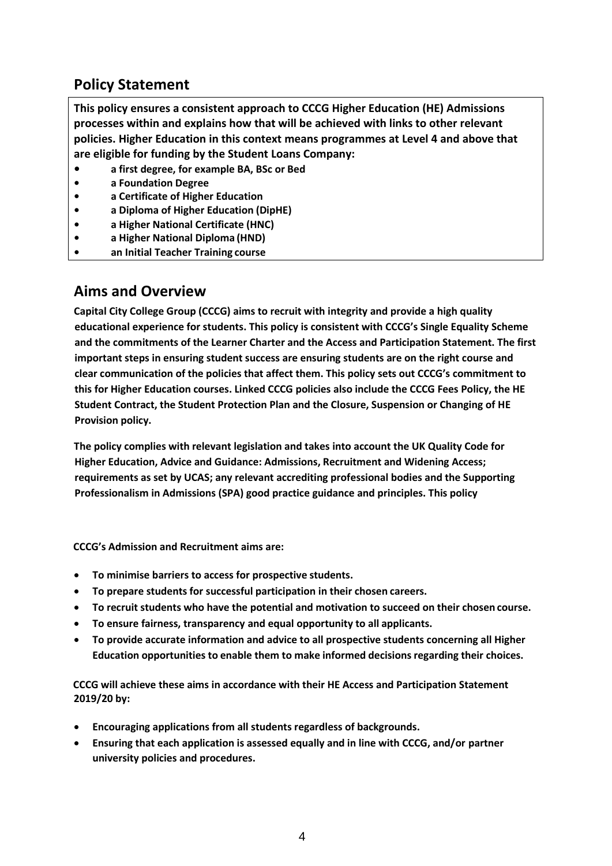## <span id="page-3-0"></span>**Policy Statement**

**This policy ensures a consistent approach to CCCG Higher Education (HE) Admissions processes within and explains how that will be achieved with links to other relevant policies. Higher Education in this context means programmes at Level 4 and above that are eligible for funding by the Student Loans Company:**

- **• a first degree, for example BA, BSc or Bed**
- **• a Foundation Degree**
- **• a Certificate of Higher Education**
- **• a Diploma of Higher Education (DipHE)**
- **• a Higher National Certificate (HNC)**
- **• a Higher National Diploma (HND)**
- **• an Initial Teacher Training course**

#### <span id="page-3-1"></span>**Aims and Overview**

**Capital City College Group (CCCG) aims to recruit with integrity and provide a high quality educational experience for students. This policy is consistent with CCCG's Single Equality Scheme and the commitments of the Learner Charter and the Access and Participation Statement. The first important steps in ensuring student success are ensuring students are on the right course and clear communication of the policies that affect them. This policy sets out CCCG's commitment to this for Higher Education courses. Linked CCCG policies also include the CCCG Fees Policy, the HE Student Contract, the Student Protection Plan and the Closure, Suspension or Changing of HE Provision policy.**

**The policy complies with relevant legislation and takes into account the UK Quality Code for Higher Education, Advice and Guidance: Admissions, Recruitment and Widening Access; requirements as set by UCAS; any relevant accrediting professional bodies and the Supporting Professionalism in Admissions (SPA) good practice guidance and principles. This policy**

**CCCG's Admission and Recruitment aims are:**

- **To minimise barriers to access for prospective students.**
- **To prepare students for successful participation in their chosen careers.**
- **To recruit students who have the potential and motivation to succeed on their chosen course.**
- **To ensure fairness, transparency and equal opportunity to all applicants.**
- **To provide accurate information and advice to all prospective students concerning all Higher Education opportunities to enable them to make informed decisions regarding their choices.**

**CCCG will achieve these aims in accordance with their HE Access and Participation Statement 2019/20 by:**

- **Encouraging applications from all students regardless of backgrounds.**
- **Ensuring that each application is assessed equally and in line with CCCG, and/or partner university policies and procedures.**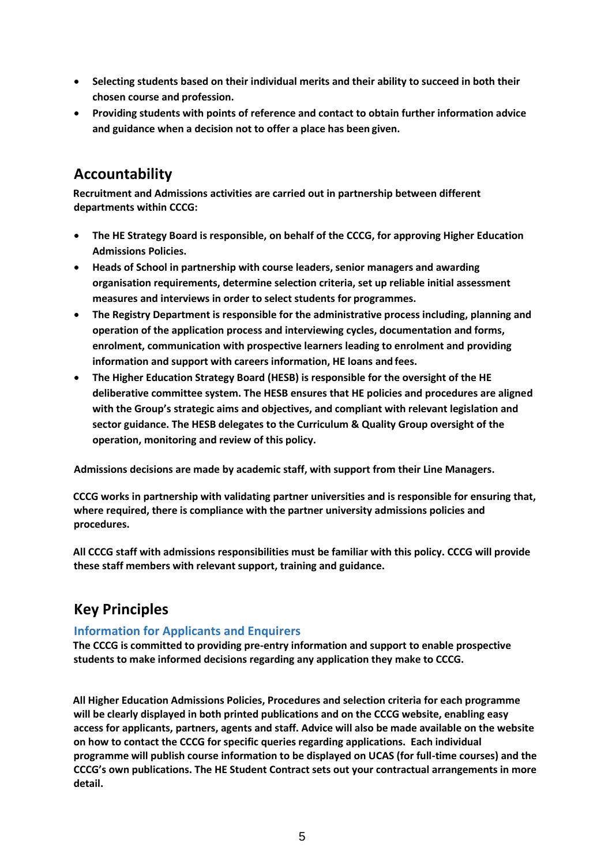- **Selecting students based on their individual merits and their ability to succeed in both their chosen course and profession.**
- **Providing students with points of reference and contact to obtain further information advice and guidance when a decision not to offer a place has been given.**

## <span id="page-4-0"></span>**Accountability**

**Recruitment and Admissions activities are carried out in partnership between different departments within CCCG:**

- **The HE Strategy Board is responsible, on behalf of the CCCG, for approving Higher Education Admissions Policies.**
- **Heads of School in partnership with course leaders, senior managers and awarding organisation requirements, determine selection criteria, set up reliable initial assessment measures and interviews in order to select students for programmes.**
- **The Registry Department is responsible for the administrative process including, planning and operation of the application process and interviewing cycles, documentation and forms, enrolment, communication with prospective learners leading to enrolment and providing information and support with careers information, HE loans and fees.**
- **The Higher Education Strategy Board (HESB) is responsible for the oversight of the HE deliberative committee system. The HESB ensures that HE policies and procedures are aligned with the Group's strategic aims and objectives, and compliant with relevant legislation and sector guidance. The HESB delegates to the Curriculum & Quality Group oversight of the operation, monitoring and review of this policy.**

**Admissions decisions are made by academic staff, with support from their Line Managers.**

**CCCG works in partnership with validating partner universities and is responsible for ensuring that, where required, there is compliance with the partner university admissions policies and procedures.**

**All CCCG staff with admissions responsibilities must be familiar with this policy. CCCG will provide these staff members with relevant support, training and guidance.**

## <span id="page-4-1"></span>**Key Principles**

#### <span id="page-4-2"></span>**Information for Applicants and Enquirers**

**The CCCG is committed to providing pre-entry information and support to enable prospective students to make informed decisions regarding any application they make to CCCG.**

**All Higher Education Admissions Policies, Procedures and selection criteria for each programme will be clearly displayed in both printed publications and on the CCCG website, enabling easy access for applicants, partners, agents and staff. Advice will also be made available on the website on how to contact the CCCG for specific queries regarding applications. Each individual programme will publish course information to be displayed on UCAS (for full-time courses) and the CCCG's own publications. The HE Student Contract sets out your contractual arrangements in more detail.**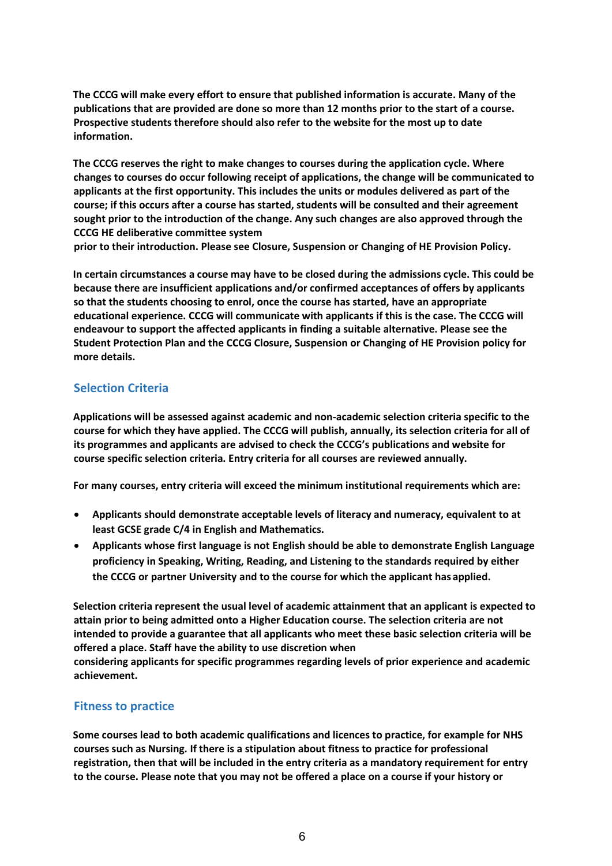**The CCCG will make every effort to ensure that published information is accurate. Many of the publications that are provided are done so more than 12 months prior to the start of a course. Prospective students therefore should also refer to the website for the most up to date information.**

**The CCCG reserves the right to make changes to courses during the application cycle. Where changes to courses do occur following receipt of applications, the change will be communicated to applicants at the first opportunity. This includes the units or modules delivered as part of the course; if this occurs after a course has started, students will be consulted and their agreement sought prior to the introduction of the change. Any such changes are also approved through the CCCG HE deliberative committee system**

**prior to their introduction. Please see Closure, Suspension or Changing of HE Provision Policy.**

**In certain circumstances a course may have to be closed during the admissions cycle. This could be because there are insufficient applications and/or confirmed acceptances of offers by applicants so that the students choosing to enrol, once the course has started, have an appropriate educational experience. CCCG will communicate with applicants if this is the case. The CCCG will endeavour to support the affected applicants in finding a suitable alternative. Please see the Student Protection Plan and the CCCG Closure, Suspension or Changing of HE Provision policy for more details.**

#### <span id="page-5-0"></span>**Selection Criteria**

**Applications will be assessed against academic and non-academic selection criteria specific to the course for which they have applied. The CCCG will publish, annually, its selection criteria for all of its programmes and applicants are advised to check the CCCG's publications and website for course specific selection criteria. Entry criteria for all courses are reviewed annually.**

**For many courses, entry criteria will exceed the minimum institutional requirements which are:**

- **Applicants should demonstrate acceptable levels of literacy and numeracy, equivalent to at least GCSE grade C/4 in English and Mathematics.**
- **Applicants whose first language is not English should be able to demonstrate English Language proficiency in Speaking, Writing, Reading, and Listening to the standards required by either the CCCG or partner University and to the course for which the applicant has applied.**

**Selection criteria represent the usual level of academic attainment that an applicant is expected to attain prior to being admitted onto a Higher Education course. The selection criteria are not intended to provide a guarantee that all applicants who meet these basic selection criteria will be offered a place. Staff have the ability to use discretion when**

**considering applicants for specific programmes regarding levels of prior experience and academic achievement.**

#### <span id="page-5-1"></span>**Fitness to practice**

**Some courses lead to both academic qualifications and licences to practice, for example for NHS courses such as Nursing. If there is a stipulation about fitness to practice for professional registration, then that will be included in the entry criteria as a mandatory requirement for entry to the course. Please note that you may not be offered a place on a course if your history or**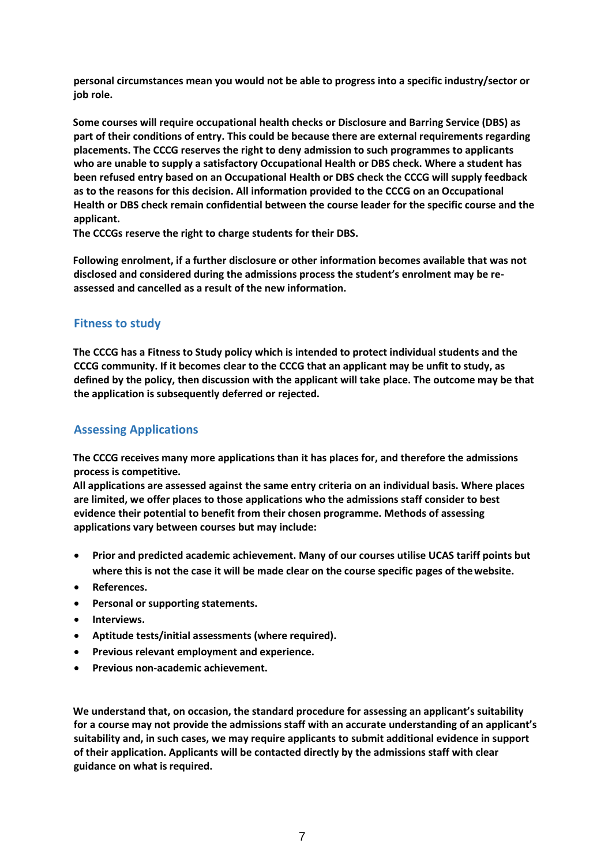**personal circumstances mean you would not be able to progress into a specific industry/sector or job role.**

**Some courses will require occupational health checks or Disclosure and Barring Service (DBS) as part of their conditions of entry. This could be because there are external requirements regarding placements. The CCCG reserves the right to deny admission to such programmes to applicants who are unable to supply a satisfactory Occupational Health or DBS check. Where a student has been refused entry based on an Occupational Health or DBS check the CCCG will supply feedback as to the reasons for this decision. All information provided to the CCCG on an Occupational Health or DBS check remain confidential between the course leader for the specific course and the applicant.**

**The CCCGs reserve the right to charge students for their DBS.**

**Following enrolment, if a further disclosure or other information becomes available that was not disclosed and considered during the admissions process the student's enrolment may be reassessed and cancelled as a result of the new information.**

#### <span id="page-6-0"></span>**Fitness to study**

**The CCCG has a Fitness to Study policy which is intended to protect individual students and the CCCG community. If it becomes clear to the CCCG that an applicant may be unfit to study, as defined by the policy, then discussion with the applicant will take place. The outcome may be that the application is subsequently deferred or rejected.**

#### <span id="page-6-1"></span>**Assessing Applications**

**The CCCG receives many more applications than it has places for, and therefore the admissions process is competitive.**

**All applications are assessed against the same entry criteria on an individual basis. Where places are limited, we offer places to those applications who the admissions staff consider to best evidence their potential to benefit from their chosen programme. Methods of assessing applications vary between courses but may include:**

- **Prior and predicted academic achievement. Many of our courses utilise UCAS tariff points but where this is not the case it will be made clear on the course specific pages of thewebsite.**
- **References.**
- **Personal or supporting statements.**
- **Interviews.**
- **Aptitude tests/initial assessments (where required).**
- **Previous relevant employment and experience.**
- **Previous non-academic achievement.**

**We understand that, on occasion, the standard procedure for assessing an applicant's suitability for a course may not provide the admissions staff with an accurate understanding of an applicant's suitability and, in such cases, we may require applicants to submit additional evidence in support of their application. Applicants will be contacted directly by the admissions staff with clear guidance on what isrequired.**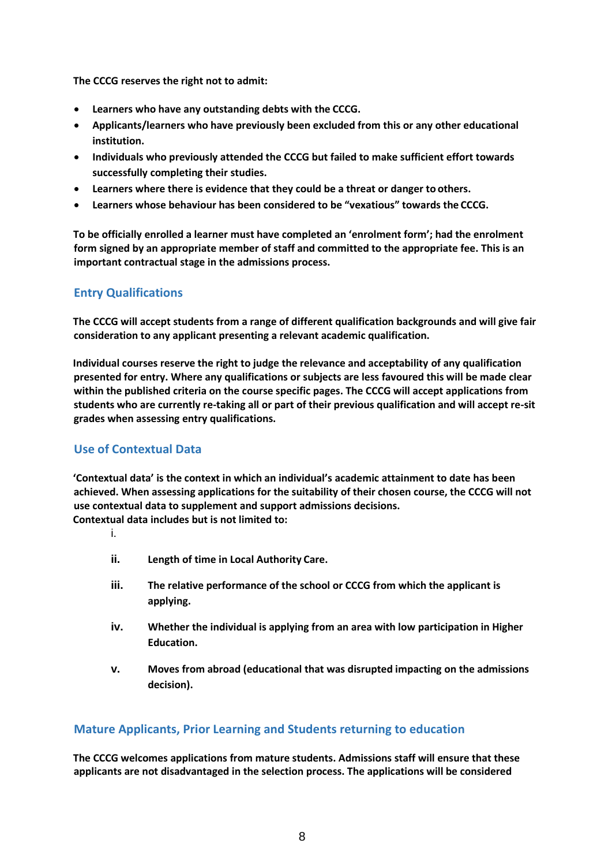**The CCCG reserves the right not to admit:**

- **Learners who have any outstanding debts with the CCCG.**
- **Applicants/learners who have previously been excluded from this or any other educational institution.**
- **Individuals who previously attended the CCCG but failed to make sufficient effort towards successfully completing their studies.**
- **Learners where there is evidence that they could be a threat or danger to others.**
- **Learners whose behaviour has been considered to be "vexatious" towards the CCCG.**

**To be officially enrolled a learner must have completed an 'enrolment form'; had the enrolment form signed by an appropriate member of staff and committed to the appropriate fee. This is an important contractual stage in the admissions process.**

#### <span id="page-7-0"></span>**Entry Qualifications**

**The CCCG will accept students from a range of different qualification backgrounds and will give fair consideration to any applicant presenting a relevant academic qualification.**

**Individual courses reserve the right to judge the relevance and acceptability of any qualification presented for entry. Where any qualifications or subjects are less favoured this will be made clear within the published criteria on the course specific pages. The CCCG will accept applications from students who are currently re-taking all or part of their previous qualification and will accept re-sit grades when assessing entry qualifications.**

#### <span id="page-7-1"></span>**Use of Contextual Data**

**'Contextual data' is the context in which an individual's academic attainment to date has been achieved. When assessing applications for the suitability of their chosen course, the CCCG will not use contextual data to supplement and support admissions decisions. Contextual data includes but is not limited to:**

i.

- **ii. Length of time in Local Authority Care.**
- **iii. The relative performance of the school or CCCG from which the applicant is applying.**
- **iv. Whether the individual is applying from an area with low participation in Higher Education.**
- **v. Moves from abroad (educational that was disrupted impacting on the admissions decision).**

#### <span id="page-7-2"></span>**Mature Applicants, Prior Learning and Students returning to education**

**The CCCG welcomes applications from mature students. Admissions staff will ensure that these applicants are not disadvantaged in the selection process. The applications will be considered**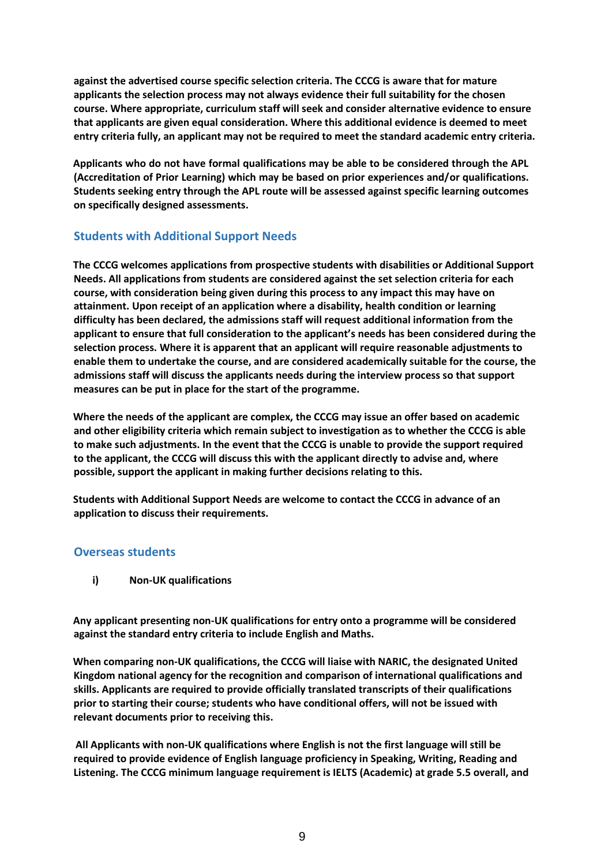**against the advertised course specific selection criteria. The CCCG is aware that for mature applicants the selection process may not always evidence their full suitability for the chosen course. Where appropriate, curriculum staff will seek and consider alternative evidence to ensure that applicants are given equal consideration. Where this additional evidence is deemed to meet entry criteria fully, an applicant may not be required to meet the standard academic entry criteria.**

**Applicants who do not have formal qualifications may be able to be considered through the APL (Accreditation of Prior Learning) which may be based on prior experiences and/or qualifications. Students seeking entry through the APL route will be assessed against specific learning outcomes on specifically designed assessments.**

#### <span id="page-8-0"></span>**Students with Additional Support Needs**

**The CCCG welcomes applications from prospective students with disabilities or Additional Support Needs. All applications from students are considered against the set selection criteria for each course, with consideration being given during this process to any impact this may have on attainment. Upon receipt of an application where a disability, health condition or learning difficulty has been declared, the admissions staff will request additional information from the applicant to ensure that full consideration to the applicant's needs has been considered during the selection process. Where it is apparent that an applicant will require reasonable adjustments to enable them to undertake the course, and are considered academically suitable for the course, the admissions staff will discuss the applicants needs during the interview process so that support measures can be put in place for the start of the programme.**

**Where the needs of the applicant are complex, the CCCG may issue an offer based on academic and other eligibility criteria which remain subject to investigation as to whether the CCCG is able to make such adjustments. In the event that the CCCG is unable to provide the support required to the applicant, the CCCG will discuss this with the applicant directly to advise and, where possible, support the applicant in making further decisions relating to this.**

**Students with Additional Support Needs are welcome to contact the CCCG in advance of an application to discuss their requirements.**

#### <span id="page-8-2"></span><span id="page-8-1"></span>**Overseas students**

**i) Non-UK qualifications**

**Any applicant presenting non-UK qualifications for entry onto a programme will be considered against the standard entry criteria to include English and Maths.**

**When comparing non-UK qualifications, the CCCG will liaise with NARIC, the designated United Kingdom national agency for the recognition and comparison of international qualifications and skills. Applicants are required to provide officially translated transcripts of their qualifications prior to starting their course; students who have conditional offers, will not be issued with relevant documents prior to receiving this.**

**All Applicants with non-UK qualifications where English is not the first language will still be required to provide evidence of English language proficiency in Speaking, Writing, Reading and Listening. The CCCG minimum language requirement is IELTS (Academic) at grade 5.5 overall, and**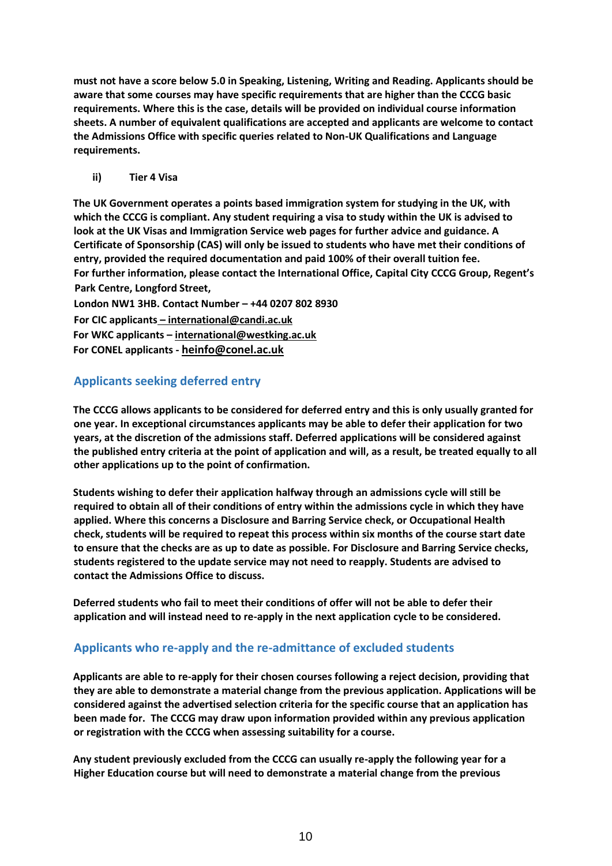**must not have a score below 5.0 in Speaking, Listening, Writing and Reading. Applicants should be aware that some courses may have specific requirements that are higher than the CCCG basic requirements. Where this is the case, details will be provided on individual course information sheets. A number of equivalent qualifications are accepted and applicants are welcome to contact the Admissions Office with specific queries related to Non-UK Qualifications and Language requirements.**

#### **ii) Tier 4 Visa**

<span id="page-9-0"></span>**The UK Government operates a points based immigration system for studying in the UK, with which the CCCG is compliant. Any student requiring a visa to study within the UK is advised to look at the UK Visas and Immigration Service web pages for further advice and guidance. A Certificate of Sponsorship (CAS) will only be issued to students who have met their conditions of entry, provided the required documentation and paid 100% of their overall tuition fee. For further information, please contact the International Office, Capital City CCCG Group, Regent's Park Centre, Longford Street,**

**London NW1 3HB. Contact Number – +44 0207 802 8930 For CIC applicants – [international@candi.ac.uk](mailto:â€) For WKC applicants – [international@westking.ac.uk](mailto:international@westking.ac.uk) For CONEL applicants - [heinfo@conel.ac.uk](mailto:heinfo@conel.ac.uk)**

#### <span id="page-9-1"></span>**Applicants seeking deferred entry**

**The CCCG allows applicants to be considered for deferred entry and this is only usually granted for one year. In exceptional circumstances applicants may be able to defer their application for two years, at the discretion of the admissions staff. Deferred applications will be considered against the published entry criteria at the point of application and will, as a result, be treated equally to all other applications up to the point of confirmation.**

**Students wishing to defer their application halfway through an admissions cycle will still be required to obtain all of their conditions of entry within the admissions cycle in which they have applied. Where this concerns a Disclosure and Barring Service check, or Occupational Health check, students will be required to repeat this process within six months of the course start date to ensure that the checks are as up to date as possible. For Disclosure and Barring Service checks, students registered to the update service may not need to reapply. Students are advised to contact the Admissions Office to discuss.**

**Deferred students who fail to meet their conditions of offer will not be able to defer their application and will instead need to re-apply in the next application cycle to be considered.**

#### <span id="page-9-2"></span>**Applicants who re-apply and the re-admittance of excluded students**

**Applicants are able to re-apply for their chosen courses following a reject decision, providing that they are able to demonstrate a material change from the previous application. Applications will be considered against the advertised selection criteria for the specific course that an application has been made for. The CCCG may draw upon information provided within any previous application or registration with the CCCG when assessing suitability for a course.**

**Any student previously excluded from the CCCG can usually re-apply the following year for a Higher Education course but will need to demonstrate a material change from the previous**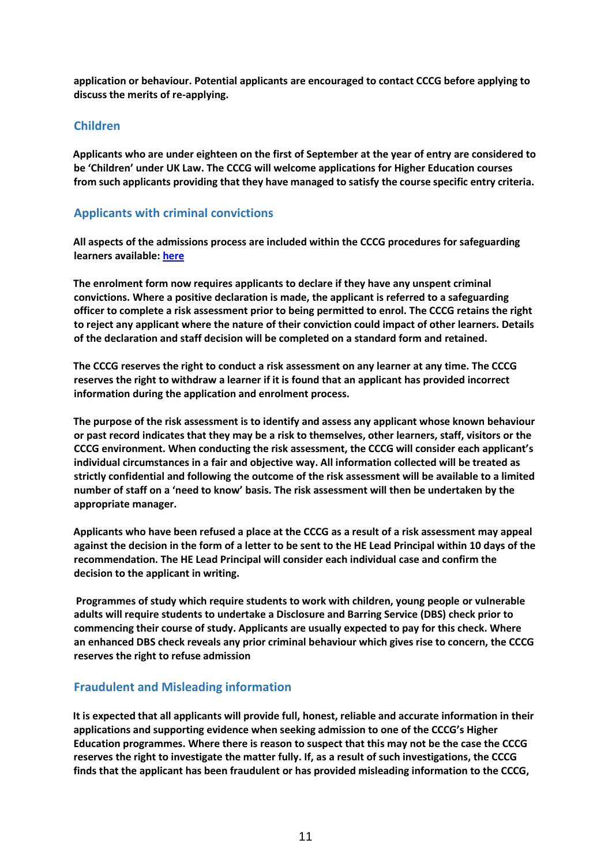**application or behaviour. Potential applicants are encouraged to contact CCCG before applying to discuss the merits of re-applying.**

#### <span id="page-10-0"></span>**Children**

**Applicants who are under eighteen on the first of September at the year of entry are considered to be 'Children' under UK Law. The CCCG will welcome applications for Higher Education courses from such applicants providing that they have managed to satisfy the course specific entry criteria.**

#### <span id="page-10-1"></span>**Applicants with criminal convictions**

**All aspects of the admissions process are included within the CCCG procedures for safeguarding learners available: [here](https://capitalccg.ac.uk/wp-content/uploads/2019/01/Safeguarding-Policy-Dec-18.pdf)**

**The enrolment form now requires applicants to declare if they have any unspent criminal convictions. Where a positive declaration is made, the applicant is referred to a safeguarding officer to complete a risk assessment prior to being permitted to enrol. The CCCG retains the right to reject any applicant where the nature of their conviction could impact of other learners. Details of the declaration and staff decision will be completed on a standard form and retained.**

**The CCCG reserves the right to conduct a risk assessment on any learner at any time. The CCCG reserves the right to withdraw a learner if it is found that an applicant has provided incorrect information during the application and enrolment process.**

**The purpose of the risk assessment is to identify and assess any applicant whose known behaviour or past record indicates that they may be a risk to themselves, other learners, staff, visitors or the CCCG environment. When conducting the risk assessment, the CCCG will consider each applicant's individual circumstances in a fair and objective way. All information collected will be treated as strictly confidential and following the outcome of the risk assessment will be available to a limited number of staff on a 'need to know' basis. The risk assessment will then be undertaken by the appropriate manager.**

**Applicants who have been refused a place at the CCCG as a result of a risk assessment may appeal against the decision in the form of a letter to be sent to the HE Lead Principal within 10 days of the recommendation. The HE Lead Principal will consider each individual case and confirm the decision to the applicant in writing.**

**Programmes of study which require students to work with children, young people or vulnerable adults will require students to undertake a Disclosure and Barring Service (DBS) check prior to commencing their course of study. Applicants are usually expected to pay for this check. Where an enhanced DBS check reveals any prior criminal behaviour which gives rise to concern, the CCCG reserves the right to refuse admission**

#### <span id="page-10-2"></span>**Fraudulent and Misleading information**

**It is expected that all applicants will provide full, honest, reliable and accurate information in their applications and supporting evidence when seeking admission to one of the CCCG's Higher Education programmes. Where there is reason to suspect that this may not be the case the CCCG reserves the right to investigate the matter fully. If, as a result of such investigations, the CCCG finds that the applicant has been fraudulent or has provided misleading information to the CCCG,**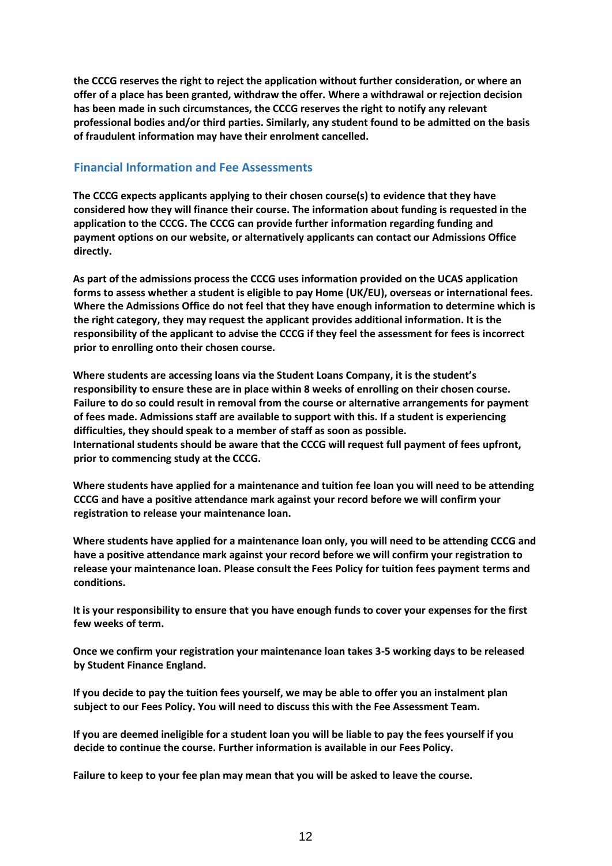**the CCCG reserves the right to reject the application without further consideration, or where an offer of a place has been granted, withdraw the offer. Where a withdrawal or rejection decision has been made in such circumstances, the CCCG reserves the right to notify any relevant professional bodies and/or third parties. Similarly, any student found to be admitted on the basis of fraudulent information may have their enrolment cancelled.**

#### <span id="page-11-0"></span>**Financial Information and Fee Assessments**

**The CCCG expects applicants applying to their chosen course(s) to evidence that they have considered how they will finance their course. The information about funding is requested in the application to the CCCG. The CCCG can provide further information regarding funding and payment options on our website, or alternatively applicants can contact our Admissions Office directly.**

**As part of the admissions process the CCCG uses information provided on the UCAS application forms to assess whether a student is eligible to pay Home (UK/EU), overseas or international fees. Where the Admissions Office do not feel that they have enough information to determine which is the right category, they may request the applicant provides additional information. It is the responsibility of the applicant to advise the CCCG if they feel the assessment for fees is incorrect prior to enrolling onto their chosen course.**

**Where students are accessing loans via the Student Loans Company, it is the student's responsibility to ensure these are in place within 8 weeks of enrolling on their chosen course. Failure to do so could result in removal from the course or alternative arrangements for payment of fees made. Admissions staff are available to support with this. If a student is experiencing difficulties, they should speak to a member of staff as soon as possible. International students should be aware that the CCCG will request full payment of fees upfront, prior to commencing study at the CCCG.**

**Where students have applied for a maintenance and tuition fee loan you will need to be attending CCCG and have a positive attendance mark against your record before we will confirm your registration to release your maintenance loan.**

**Where students have applied for a maintenance loan only, you will need to be attending CCCG and have a positive attendance mark against your record before we will confirm your registration to release your maintenance loan. Please consult the Fees Policy for tuition fees payment terms and conditions.**

**It is your responsibility to ensure that you have enough funds to cover your expenses for the first few weeks of term.**

**Once we confirm your registration your maintenance loan takes 3-5 working days to be released by Student Finance England.**

**If you decide to pay the tuition fees yourself, we may be able to offer you an instalment plan subject to our Fees Policy. You will need to discuss this with the Fee Assessment Team.**

**If you are deemed ineligible for a student loan you will be liable to pay the fees yourself if you decide to continue the course. Further information is available in our Fees Policy.**

**Failure to keep to your fee plan may mean that you will be asked to leave the course.**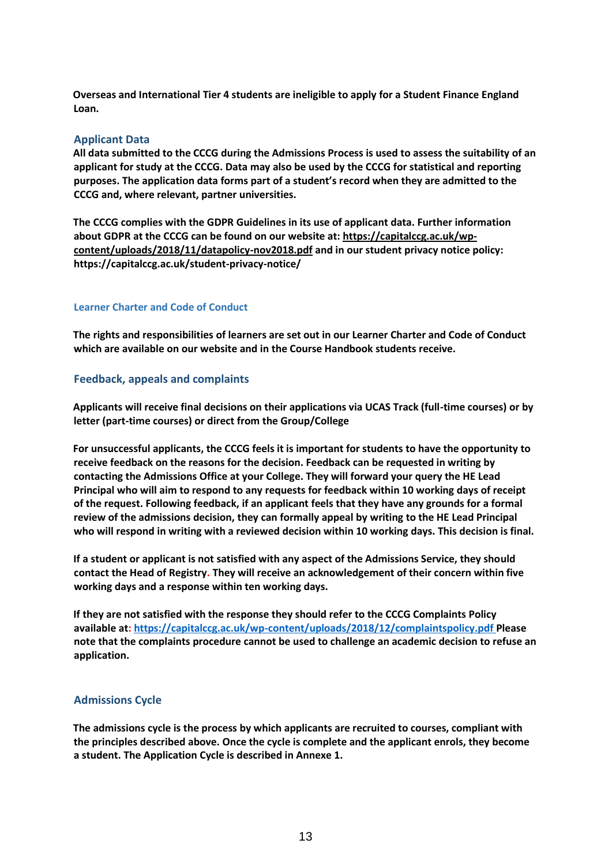**Overseas and International Tier 4 students are ineligible to apply for a Student Finance England Loan.**

#### <span id="page-12-0"></span>**Applicant Data**

**All data submitted to the CCCG during the Admissions Process is used to assess the suitability of an applicant for study at the CCCG. Data may also be used by the CCCG for statistical and reporting purposes. The application data forms part of a student's record when they are admitted to the CCCG and, where relevant, partner universities.**

**The CCCG complies with the GDPR Guidelines in its use of applicant data. Further information about GDPR at the CCCG can be found on our website at: [https://capitalccg.ac.uk/wp](https://capitalccg.ac.uk/wp-content/uploads/2018/11/datapolicy-nov2018.pdf)[content/uploads/2018/11/datapolicy-nov2018.pdf](https://capitalccg.ac.uk/wp-content/uploads/2018/11/datapolicy-nov2018.pdf) and in our student privacy notice policy: https://capitalccg.ac.uk/student-privacy-notice/**

#### <span id="page-12-1"></span>**Learner Charter and Code of Conduct**

**The rights and responsibilities of learners are set out in our Learner Charter and Code of Conduct which are available on our website and in the Course Handbook students receive.**

#### <span id="page-12-2"></span>**Feedback, appeals and complaints**

**Applicants will receive final decisions on their applications via UCAS Track (full-time courses) or by letter (part-time courses) or direct from the Group/College**

**For unsuccessful applicants, the CCCG feels it is important for students to have the opportunity to receive feedback on the reasons for the decision. Feedback can be requested in writing by contacting the Admissions Office at your College. They will forward your query the HE Lead Principal who will aim to respond to any requests for feedback within 10 working days of receipt of the request. Following feedback, if an applicant feels that they have any grounds for a formal review of the admissions decision, they can formally appeal by writing to the HE Lead Principal who will respond in writing with a reviewed decision within 10 working days. This decision is final.**

**If a student or applicant is not satisfied with any aspect of the Admissions Service, they should contact the Head of Registry. They will receive an acknowledgement of their concern within five working days and a response within ten working days.**

**If they are not satisfied with the response they should refer to the CCCG Complaints Policy available at: [https://capitalccg.ac.uk/wp-content/uploads/2018/12/complaintspolicy.pdf P](https://capitalccg.ac.uk/wp-content/uploads/2018/12/complaintspolicy.pdf)lease note that the complaints procedure cannot be used to challenge an academic decision to refuse an application.**

#### <span id="page-12-3"></span>**Admissions Cycle**

**The admissions cycle is the process by which applicants are recruited to courses, compliant with the principles described above. Once the cycle is complete and the applicant enrols, they become a student. The Application Cycle is described in Annexe 1.**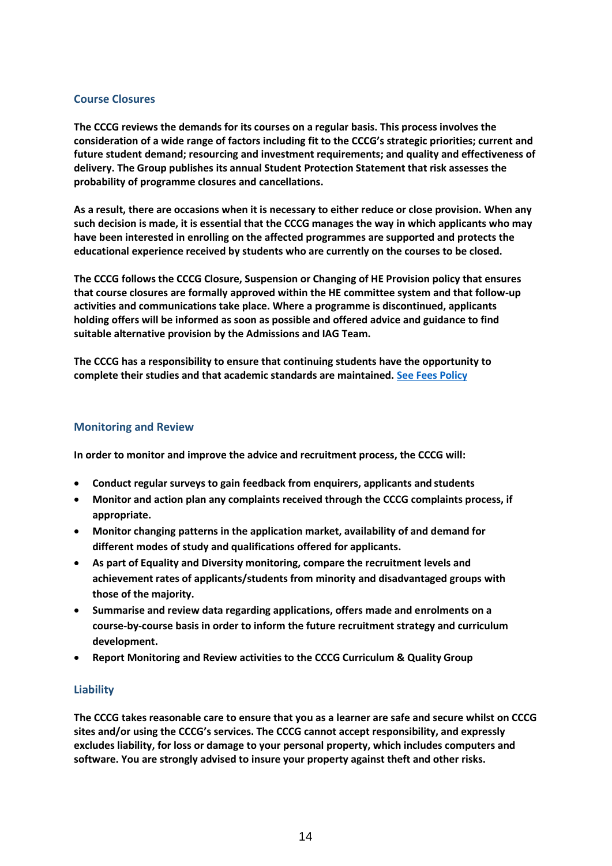#### <span id="page-13-0"></span>**Course Closures**

**The CCCG reviews the demands for its courses on a regular basis. This process involves the consideration of a wide range of factors including fit to the CCCG's strategic priorities; current and future student demand; resourcing and investment requirements; and quality and effectiveness of delivery. The Group publishes its annual Student Protection Statement that risk assesses the probability of programme closures and cancellations.**

**As a result, there are occasions when it is necessary to either reduce or close provision. When any such decision is made, it is essential that the CCCG manages the way in which applicants who may have been interested in enrolling on the affected programmes are supported and protects the educational experience received by students who are currently on the courses to be closed.**

**The CCCG follows the CCCG Closure, Suspension or Changing of HE Provision policy that ensures that course closures are formally approved within the HE committee system and that follow-up activities and communications take place. Where a programme is discontinued, applicants holding offers will be informed as soon as possible and offered advice and guidance to find suitable alternative provision by the Admissions and IAG Team.**

**The CCCG has a responsibility to ensure that continuing students have the opportunity to complete their studies and that academic standards are maintained. [See Fees Policy](https://capitalccg.ac.uk/wp-content/uploads/2018/11/CCCG-Fees-Policy-2018-19-Final.pdf)**

#### <span id="page-13-1"></span>**Monitoring and Review**

**In order to monitor and improve the advice and recruitment process, the CCCG will:**

- **Conduct regular surveys to gain feedback from enquirers, applicants and students**
- **Monitor and action plan any complaints received through the CCCG complaints process, if appropriate.**
- **Monitor changing patterns in the application market, availability of and demand for different modes of study and qualifications offered for applicants.**
- **As part of Equality and Diversity monitoring, compare the recruitment levels and achievement rates of applicants/students from minority and disadvantaged groups with those of the majority.**
- **Summarise and review data regarding applications, offers made and enrolments on a course-by-course basis in order to inform the future recruitment strategy and curriculum development.**
- **Report Monitoring and Review activities to the CCCG Curriculum & Quality Group**

#### <span id="page-13-2"></span>**Liability**

**The CCCG takes reasonable care to ensure that you as a learner are safe and secure whilst on CCCG sites and/or using the CCCG's services. The CCCG cannot accept responsibility, and expressly excludes liability, for loss or damage to your personal property, which includes computers and software. You are strongly advised to insure your property against theft and other risks.**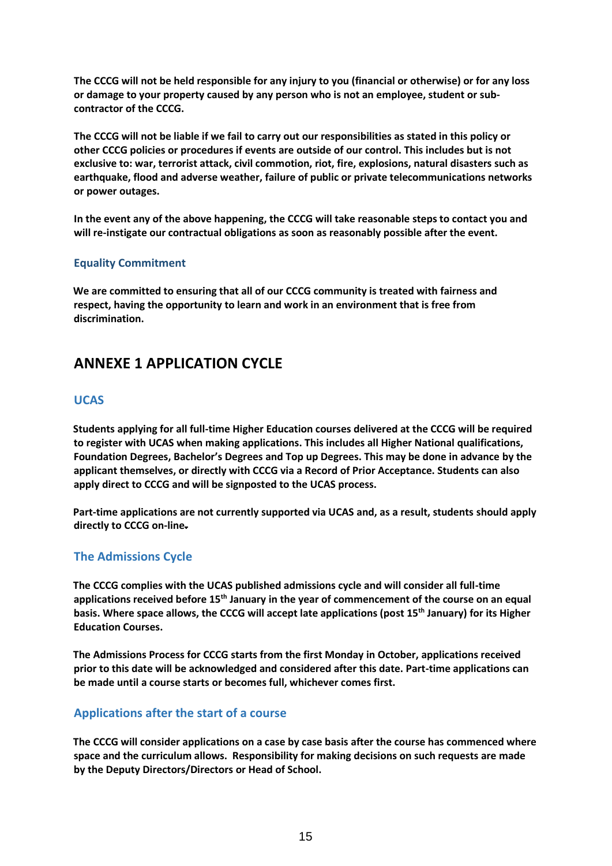**The CCCG will not be held responsible for any injury to you (financial or otherwise) or for any loss or damage to your property caused by any person who is not an employee, student or subcontractor of the CCCG.**

**The CCCG will not be liable if we fail to carry out our responsibilities as stated in this policy or other CCCG policies or procedures if events are outside of our control. This includes but is not exclusive to: war, terrorist attack, civil commotion, riot, fire, explosions, natural disasters such as earthquake, flood and adverse weather, failure of public or private telecommunications networks or power outages.**

**In the event any of the above happening, the CCCG will take reasonable steps to contact you and will re-instigate our contractual obligations as soon as reasonably possible after the event.**

#### <span id="page-14-0"></span>**Equality Commitment**

**We are committed to ensuring that all of our CCCG community is treated with fairness and respect, having the opportunity to learn and work in an environment that is free from discrimination.**

### <span id="page-14-1"></span>**ANNEXE 1 APPLICATION CYCLE**

#### <span id="page-14-2"></span>**UCAS**

**Students applying for all full-time Higher Education courses delivered at the CCCG will be required to register with UCAS when making applications. This includes all Higher National qualifications, Foundation Degrees, Bachelor's Degrees and Top up Degrees. This may be done in advance by the applicant themselves, or directly with CCCG via a Record of Prior Acceptance. Students can also apply direct to CCCG and will be signposted to the UCAS process.**

**Part-time applications are not currently supported via UCAS and, as a result, students should apply directly to CCCG on-line.**

#### <span id="page-14-3"></span>**The Admissions Cycle**

**The CCCG complies with the UCAS published admissions cycle and will consider all full-time applications received before 15th January in the year of commencement of the course on an equal basis. Where space allows, the CCCG will accept late applications (post 15th January) for its Higher Education Courses.**

**The Admissions Process for CCCG starts from the first Monday in October, applications received prior to this date will be acknowledged and considered after this date. Part-time applications can be made until a course starts or becomes full, whichever comes first.**

#### <span id="page-14-4"></span>**Applications after the start of a course**

**The CCCG will consider applications on a case by case basis after the course has commenced where space and the curriculum allows. Responsibility for making decisions on such requests are made by the Deputy Directors/Directors or Head of School.**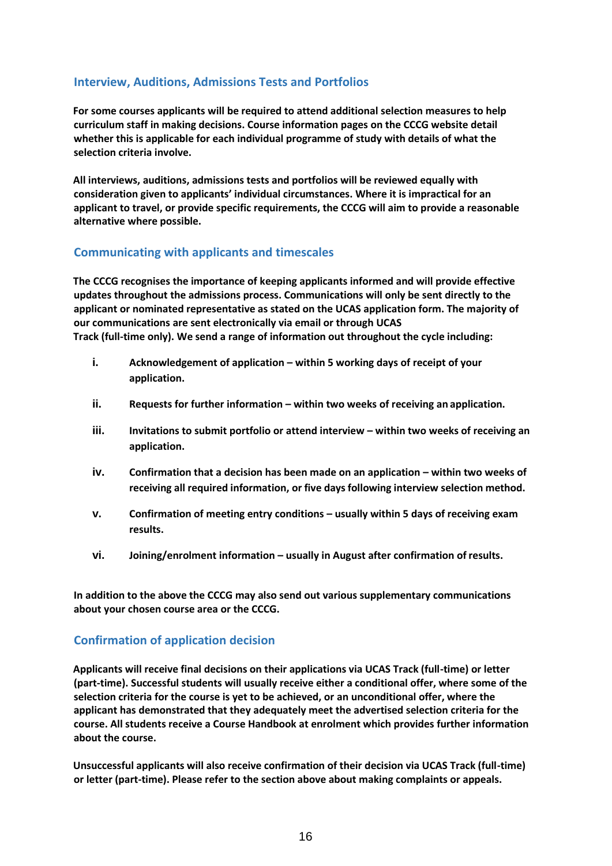#### <span id="page-15-0"></span>**Interview, Auditions, Admissions Tests and Portfolios**

**For some courses applicants will be required to attend additional selection measures to help curriculum staff in making decisions. Course information pages on the CCCG website detail whether this is applicable for each individual programme of study with details of what the selection criteria involve.**

**All interviews, auditions, admissions tests and portfolios will be reviewed equally with consideration given to applicants' individual circumstances. Where it is impractical for an applicant to travel, or provide specific requirements, the CCCG will aim to provide a reasonable alternative where possible.**

#### <span id="page-15-1"></span>**Communicating with applicants and timescales**

**The CCCG recognises the importance of keeping applicants informed and will provide effective updates throughout the admissions process. Communications will only be sent directly to the applicant or nominated representative as stated on the UCAS application form. The majority of our communications are sent electronically via email or through UCAS Track (full-time only). We send a range of information out throughout the cycle including:**

- **i.** Acknowledgement of application within 5 working days of receipt of your **application.**
- **ii.** Requests for further information within two weeks of receiving an application.
- **iii.** Invitations to submit portfolio or attend interview within two weeks of receiving an **application.**
- **iv.** Confirmation that a decision has been made on an application within two weeks of **receiving all required information, or five daysfollowing interview selection method.**
- **v. Confirmation of meeting entry conditions usually within 5 days of receiving exam <b>v results.**
- **vi. Joining/enrolment information – usually in August after confirmation of results.**

**In addition to the above the CCCG may also send out various supplementary communications about your chosen course area or the CCCG.**

#### <span id="page-15-2"></span>**Confirmation of application decision**

**Applicants will receive final decisions on their applications via UCAS Track (full-time) or letter (part-time). Successful students will usually receive either a conditional offer, where some of the selection criteria for the course is yet to be achieved, or an unconditional offer, where the applicant has demonstrated that they adequately meet the advertised selection criteria for the course. All students receive a Course Handbook at enrolment which provides further information about the course.**

**Unsuccessful applicants will also receive confirmation of their decision via UCAS Track (full-time) or letter (part-time). Please refer to the section above about making complaints or appeals.**